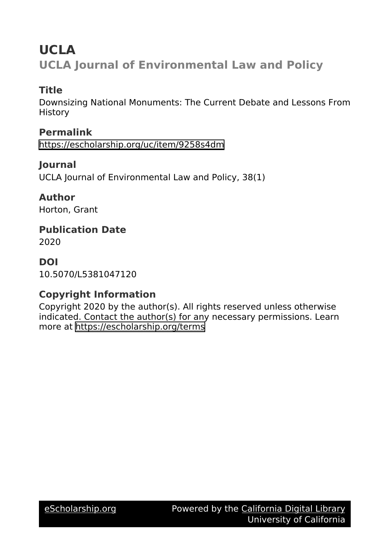# **UCLA UCLA Journal of Environmental Law and Policy**

## **Title**

Downsizing National Monuments: The Current Debate and Lessons From **History** 

## **Permalink**

<https://escholarship.org/uc/item/9258s4dm>

### **Journal**

UCLA Journal of Environmental Law and Policy, 38(1)

### **Author**

Horton, Grant

### **Publication Date** 2020

### **DOI**

10.5070/L5381047120

## **Copyright Information**

Copyright 2020 by the author(s). All rights reserved unless otherwise indicated. Contact the author(s) for any necessary permissions. Learn more at <https://escholarship.org/terms>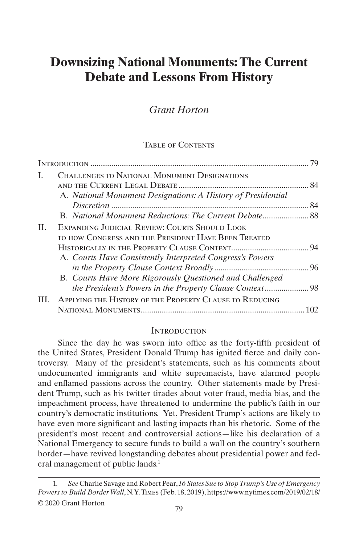## **Downsizing National Monuments: The Current Debate and Lessons From History**

### *Grant Horton*

#### TABLE OF CONTENTS

|     |                                                                                                                       | 79 |
|-----|-----------------------------------------------------------------------------------------------------------------------|----|
| L   | <b>CHALLENGES TO NATIONAL MONUMENT DESIGNATIONS</b>                                                                   |    |
|     | A. National Monument Designations: A History of Presidential                                                          |    |
|     |                                                                                                                       |    |
| H.  | EXPANDING JUDICIAL REVIEW: COURTS SHOULD LOOK<br>TO HOW CONGRESS AND THE PRESIDENT HAVE BEEN TREATED                  |    |
|     |                                                                                                                       |    |
|     | A. Courts Have Consistently Interpreted Congress's Powers<br>B. Courts Have More Rigorously Questioned and Challenged |    |
|     |                                                                                                                       |    |
| TH. | APPLYING THE HISTORY OF THE PROPERTY CLAUSE TO REDUCING                                                               |    |
|     |                                                                                                                       |    |

#### **INTRODUCTION**

Since the day he was sworn into office as the forty-fifth president of the United States, President Donald Trump has ignited fierce and daily controversy. Many of the president's statements, such as his comments about undocumented immigrants and white supremacists, have alarmed people and enflamed passions across the country. Other statements made by President Trump, such as his twitter tirades about voter fraud, media bias, and the impeachment process, have threatened to undermine the public's faith in our country's democratic institutions. Yet, President Trump's actions are likely to have even more significant and lasting impacts than his rhetoric. Some of the president's most recent and controversial actions—like his declaration of a National Emergency to secure funds to build a wall on the country's southern border—have revived longstanding debates about presidential power and federal management of public lands.<sup>1</sup>

<sup>1.</sup> *See* Charlie Savage and Robert Pear, *16 States Sue to Stop Trump's Use of Emergency Powers to Build Border Wall*, N.Y. Times (Feb. 18, 2019), https://www.nytimes.com/2019/02/18/ © 2020 Grant Horton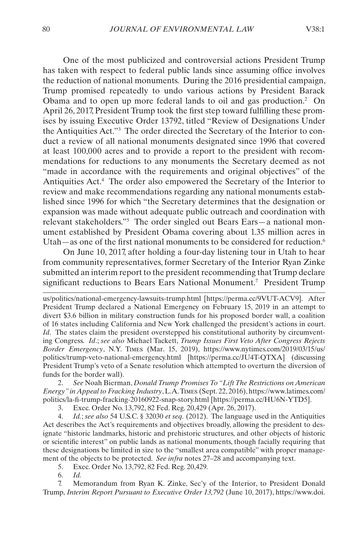One of the most publicized and controversial actions President Trump has taken with respect to federal public lands since assuming office involves the reduction of national monuments. During the 2016 presidential campaign, Trump promised repeatedly to undo various actions by President Barack Obama and to open up more federal lands to oil and gas production.<sup>2</sup> On April 26, 2017, President Trump took the first step toward fulfilling these promises by issuing Executive Order 13792, titled "Review of Designations Under the Antiquities Act."3 The order directed the Secretary of the Interior to conduct a review of all national monuments designated since 1996 that covered at least 100,000 acres and to provide a report to the president with recommendations for reductions to any monuments the Secretary deemed as not "made in accordance with the requirements and original objectives" of the Antiquities Act.4 The order also empowered the Secretary of the Interior to review and make recommendations regarding any national monuments established since 1996 for which "the Secretary determines that the designation or expansion was made without adequate public outreach and coordination with relevant stakeholders."5 The order singled out Bears Ears—a national monument established by President Obama covering about 1.35 million acres in Utah—as one of the first national monuments to be considered for reduction.<sup>6</sup>

On June 10, 2017, after holding a four-day listening tour in Utah to hear from community representatives, former Secretary of the Interior Ryan Zinke submitted an interim report to the president recommending that Trump declare significant reductions to Bears Ears National Monument.<sup>7</sup> President Trump

us/politics/national-emergency-lawsuits-trump.html [https://perma.cc/9VUT-ACV9]. After President Trump declared a National Emergency on February 15, 2019 in an attempt to divert \$3.6 billion in military construction funds for his proposed border wall, a coalition of 16 states including California and New York challenged the president's actions in court. *Id*. The states claim the president overstepped his constitutional authority by circumventing Congress. *Id*.; *see also* Michael Tackett, *Trump Issues First Veto After Congress Rejects Border Emergency*, N.Y. Times (Mar. 15, 2019), https://www.nytimes.com/2019/03/15/us/ politics/trump-veto-national-emergency.html [https://perma.cc/JU4T-QTXA] (discussing President Trump's veto of a Senate resolution which attempted to overturn the diversion of funds for the border wall).

2. *See* Noah Bierman, *Donald Trump Promises To "Lift The Restrictions on American Energy" in Appeal to Fracking Industry*, L.A. Times (Sept. 22, 2016), https://www.latimes.com/ politics/la-fi-trump-fracking-20160922-snap-story.html [https://perma.cc/HU6N-YTD5].

3. Exec. Order No. 13,792, 82 Fed. Reg. 20,429 (Apr. 26, 2017).

4. *Id.*; *see also* 54 U.S.C. § 32030 *et seq.* (2012). The language used in the Antiquities Act describes the Act's requirements and objectives broadly, allowing the president to designate "historic landmarks, historic and prehistoric structures, and other objects of historic or scientific interest" on public lands as national monuments, though facially requiring that these designations be limited in size to the "smallest area compatible" with proper management of the objects to be protected. *See infra* notes 27–28 and accompanying text.

5. Exec. Order No. 13,792, 82 Fed. Reg. 20,429*.*

6. *Id.*

7. Memorandum from Ryan K. Zinke, Sec'y of the Interior, to President Donald Trump, *Interim Report Pursuant to Executive Order 13,792* (June 10, 2017), https://www.doi.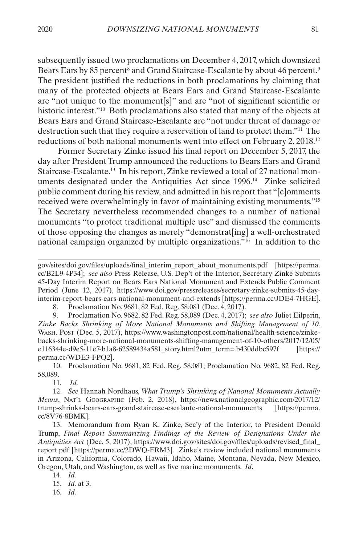subsequently issued two proclamations on December 4, 2017, which downsized Bears Ears by 85 percent<sup>8</sup> and Grand Staircase-Escalante by about 46 percent.<sup>9</sup> The president justified the reductions in both proclamations by claiming that many of the protected objects at Bears Ears and Grand Staircase-Escalante are "not unique to the monument[s]" and are "not of significant scientific or historic interest."10 Both proclamations also stated that many of the objects at Bears Ears and Grand Staircase-Escalante are "not under threat of damage or destruction such that they require a reservation of land to protect them."11 The reductions of both national monuments went into effect on February 2, 2018.12

Former Secretary Zinke issued his final report on December 5, 2017, the day after President Trump announced the reductions to Bears Ears and Grand Staircase-Escalante.13 In his report, Zinke reviewed a total of 27 national monuments designated under the Antiquities Act since 1996.14 Zinke solicited public comment during his review, and admitted in his report that "[c]omments received were overwhelmingly in favor of maintaining existing monuments."15 The Secretary nevertheless recommended changes to a number of national monuments "to protect traditional multiple use" and dismissed the comments of those opposing the changes as merely "demonstrat[ing] a well-orchestrated national campaign organized by multiple organizations."16 In addition to the

8. Proclamation No. 9681, 82 Fed. Reg. 58,081 (Dec. 4, 2017).

9. Proclamation No. 9682, 82 Fed. Reg. 58,089 (Dec. 4, 2017); *see also* Juliet Eilperin, *Zinke Backs Shrinking of More National Monuments and Shifting Management of 10*, Wash. Post (Dec. 5, 2017), https://www.washingtonpost.com/national/health-science/zinkebacks-shrinking-more-national-monuments-shifting-management-of-10-others/2017/12/05/ e116344e-d9e5-11e7-b1a8-62589434a581\_story.html?utm\_term=.b430ddbc597f [https:// perma.cc/WDE3-FPQ2].

10. Proclamation No. 9681, 82 Fed. Reg. 58,081; Proclamation No. 9682, 82 Fed. Reg. 58,089.

11. *Id.*

13. Memorandum from Ryan K. Zinke, Sec'y of the Interior, to President Donald Trump, *Final Report Summarizing Findings of the Review of Designations Under the Antiquities Act* (Dec. 5, 2017), https://www.doi.gov/sites/doi.gov/files/uploads/revised\_final\_ report.pdf [https://perma.cc/2DWQ-FRM3]. Zinke's review included national monuments in Arizona, California, Colorado, Hawaii, Idaho, Maine, Montana, Nevada, New Mexico, Oregon, Utah, and Washington, as well as five marine monuments. *Id*.

14. *Id.*

15. *Id.* at 3.

16. *Id.*

gov/sites/doi.gov/files/uploads/final\_interim\_report\_about\_monuments.pdf [https://perma. cc/B2L9-4P34]; *see also* Press Release, U.S. Dep't of the Interior, Secretary Zinke Submits 45-Day Interim Report on Bears Ears National Monument and Extends Public Comment Period (June 12, 2017), https://www.doi.gov/pressreleases/secretary-zinke-submits-45-dayinterim-report-bears-ears-national-monument-and-extends [https://perma.cc/JDE4-7HGE].

<sup>12.</sup> *See* Hannah Nordhaus, *What Trump's Shrinking of National Monuments Actually Means*, Nat'l Geographic (Feb. 2, 2018), https://news.nationalgeographic.com/2017/12/ trump-shrinks-bears-ears-grand-staircase-escalante-national-monuments [https://perma. cc/8V76-8BMK].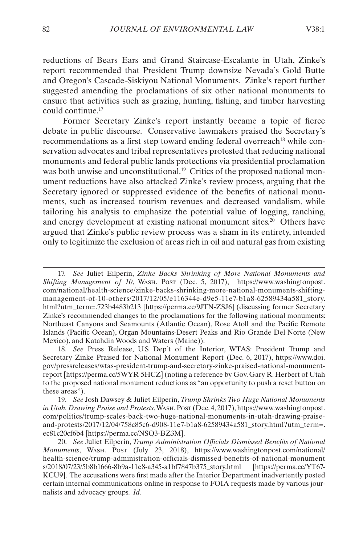reductions of Bears Ears and Grand Staircase-Escalante in Utah, Zinke's report recommended that President Trump downsize Nevada's Gold Butte and Oregon's Cascade-Siskiyou National Monuments. Zinke's report further suggested amending the proclamations of six other national monuments to ensure that activities such as grazing, hunting, fishing, and timber harvesting could continue.17

Former Secretary Zinke's report instantly became a topic of fierce debate in public discourse. Conservative lawmakers praised the Secretary's recommendations as a first step toward ending federal overreach<sup>18</sup> while conservation advocates and tribal representatives protested that reducing national monuments and federal public lands protections via presidential proclamation was both unwise and unconstitutional.<sup>19</sup> Critics of the proposed national monument reductions have also attacked Zinke's review process, arguing that the Secretary ignored or suppressed evidence of the benefits of national monuments, such as increased tourism revenues and decreased vandalism, while tailoring his analysis to emphasize the potential value of logging, ranching, and energy development at existing national monument sites.20 Others have argued that Zinke's public review process was a sham in its entirety, intended only to legitimize the exclusion of areas rich in oil and natural gas from existing

<sup>17.</sup> *See* Juliet Eilperin, *Zinke Backs Shrinking of More National Monuments and Shifting Management of 10*, Wash. Post (Dec. 5, 2017), https://www.washingtonpost. com/national/health-science/zinke-backs-shrinking-more-national-monuments-shiftingmanagement-of-10-others/2017/12/05/e116344e-d9e5-11e7-b1a8-62589434a581\_story. html?utm\_term=.723b4483b213 [https://perma.cc/9JTN-ZSJ6] (discussing former Secretary Zinke's recommended changes to the proclamations for the following national monuments: Northeast Canyons and Seamounts (Atlantic Ocean), Rose Atoll and the Pacific Remote Islands (Pacific Ocean), Organ Mountains-Desert Peaks and Rio Grande Del Norte (New Mexico), and Katahdin Woods and Waters (Maine)).

<sup>18.</sup> *See* Press Release, U.S Dep't of the Interior, WTAS: President Trump and Secretary Zinke Praised for National Monument Report (Dec. 6, 2017), https://www.doi. gov/pressreleases/wtas-president-trump-and-secretary-zinke-praised-national-monumentreport [https://perma.cc/5WYR-5HCZ] (noting a reference by Gov. Gary R. Herbert of Utah to the proposed national monument reductions as "an opportunity to push a reset button on these areas").

<sup>19.</sup> *See* Josh Dawsey & Juliet Eilperin, *Trump Shrinks Two Huge National Monuments in Utah, Drawing Praise and Protests*, Wash. Post (Dec. 4, 2017), https://www.washingtonpost. com/politics/trump-scales-back-two-huge-national-monuments-in-utah-drawing-praiseand-protests/2017/12/04/758c85c6-d908-11e7-b1a8-62589434a581\_story.html?utm\_term=. ec81c20cf6b4 [https://perma.cc/NSQ3-BZ3M].

<sup>20.</sup> *See* Juliet Eilperin, *Trump Administration Officials Dismissed Benefits of National Monuments*, Wash. Post (July 23, 2018), https://www.washingtonpost.com/national/ health-science/trump-administration-officials-dismissed-benefits-of-national-monument s/2018/07/23/5b8b1666-8b9a-11e8-a345-a1bf7847b375\_story.html [https://perma.cc/YT67- KCU9]. The accusations were first made after the Interior Department inadvertently posted certain internal communications online in response to FOIA requests made by various journalists and advocacy groups. *Id.*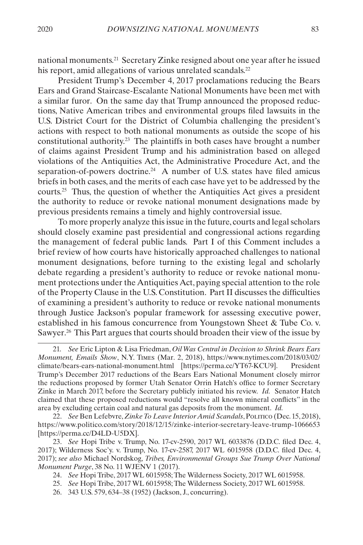national monuments.21 Secretary Zinke resigned about one year after he issued his report, amid allegations of various unrelated scandals.<sup>22</sup>

President Trump's December 4, 2017 proclamations reducing the Bears Ears and Grand Staircase-Escalante National Monuments have been met with a similar furor. On the same day that Trump announced the proposed reductions, Native American tribes and environmental groups filed lawsuits in the U.S. District Court for the District of Columbia challenging the president's actions with respect to both national monuments as outside the scope of his constitutional authority.23 The plaintiffs in both cases have brought a number of claims against President Trump and his administration based on alleged violations of the Antiquities Act, the Administrative Procedure Act, and the separation-of-powers doctrine.<sup>24</sup> A number of U.S. states have filed amicus briefs in both cases, and the merits of each case have yet to be addressed by the courts.<sup>25</sup> Thus, the question of whether the Antiquities Act gives a president the authority to reduce or revoke national monument designations made by previous presidents remains a timely and highly controversial issue.

To more properly analyze this issue in the future, courts and legal scholars should closely examine past presidential and congressional actions regarding the management of federal public lands. Part [I](#page-6-1) of this Comment includes a brief review of how courts have historically approached challenges to national monument designations, before turning to the existing legal and scholarly debate regarding a president's authority to reduce or revoke national monument protections under the Antiquities Act, paying special attention to the role of the Property Clause in the U.S. Constitution. Part [II](#page-16-1) discusses the difficulties of examining a president's authority to reduce or revoke national monuments through Justice Jackson's popular framework for assessing executive power, established in his famous concurrence from Youngstown Sheet & Tube Co. v. Sawyer.26 This Part argues that courts should broaden their view of the issue by

22. *See* Ben Lefebvre, *Zinke To Leave Interior Amid Scandals*, Politico (Dec. 15, 2018), https://www.politico.com/story/2018/12/15/zinke-interior-secretary-leave-trump-1066653 [https://perma.cc/D4LD-U5DX].

23. *See* Hopi Tribe v. Trump, No. 17-cv-2590, 2017 WL 6033876 (D.D.C. filed Dec. 4, 2017); Wilderness Soc'y. v. Trump, No. 17-cv-2587, 2017 WL 6015958 (D.D.C. filed Dec. 4, 2017); *see also* Michael Nordskog, *Tribes, Environmental Groups Sue Trump Over National Monument Purge*, 38 No. 11 WJENV 1 (2017).

- 24. *See* Hopi Tribe, 2017 WL 6015958; The Wilderness Society, 2017 WL 6015958.
- 25. *See* Hopi Tribe, 2017 WL 6015958; The Wilderness Society, 2017 WL 6015958.
- 26. 343 U.S. 579, 634–38 (1952) (Jackson, J., concurring).

<sup>21.</sup> *See* Eric Lipton & Lisa Friedman, *Oil Was Central in Decision to Shrink Bears Ears Monument, Emails Show*, N.Y. Times (Mar. 2, 2018), https://www.nytimes.com/2018/03/02/ climate/bears-ears-national-monument.html [https://perma.cc/YT67-KCU9]. President Trump's December 2017 reductions of the Bears Ears National Monument closely mirror the reductions proposed by former Utah Senator Orrin Hatch's office to former Secretary Zinke in March 2017, before the Secretary publicly initiated his review. *Id.* Senator Hatch claimed that these proposed reductions would "resolve all known mineral conflicts" in the area by excluding certain coal and natural gas deposits from the monument. *Id.*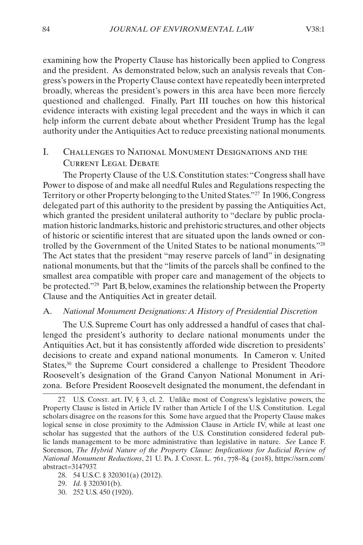<span id="page-6-0"></span>examining how the Property Clause has historically been applied to Congress and the president. As demonstrated below, such an analysis reveals that Congress's powers in the Property Clause context have repeatedly been interpreted broadly, whereas the president's powers in this area have been more fiercely questioned and challenged. Finally, Part [III](#page-24-1) touches on how this historical evidence interacts with existing legal precedent and the ways in which it can help inform the current debate about whether President Trump has the legal authority under the Antiquities Act to reduce preexisting national monuments.

### <span id="page-6-1"></span>I. Challenges to National Monument Designations and the CURRENT LEGAL DEBATE

The Property Clause of the U.S. Constitution states: "Congress shall have Power to dispose of and make all needful Rules and Regulations respecting the Territory or other Property belonging to the United States."27 In 1906, Congress delegated part of this authority to the president by passing the Antiquities Act, which granted the president unilateral authority to "declare by public proclamation historic landmarks, historic and prehistoric structures, and other objects of historic or scientific interest that are situated upon the lands owned or controlled by the Government of the United States to be national monuments."28 The Act states that the president "may reserve parcels of land" in designating national monuments, but that the "limits of the parcels shall be confined to the smallest area compatible with proper care and management of the objects to be protected."29 Part [B,](#page-10-1) below, examines the relationship between the Property Clause and the Antiquities Act in greater detail.

#### <span id="page-6-2"></span>A. *National Monument Designations: A History of Presidential Discretion*

The U.S. Supreme Court has only addressed a handful of cases that challenged the president's authority to declare national monuments under the Antiquities Act, but it has consistently afforded wide discretion to presidents' decisions to create and expand national monuments. In Cameron v. United States,<sup>30</sup> the Supreme Court considered a challenge to President Theodore Roosevelt's designation of the Grand Canyon National Monument in Arizona. Before President Roosevelt designated the monument, the defendant in

30. 252 U.S. 450 (1920).

<sup>27.</sup> U.S. Const. art. IV, § 3, cl. 2. Unlike most of Congress's legislative powers, the Property Clause is listed in Article IV rather than Article I of the U.S. Constitution. Legal scholars disagree on the reasons for this. Some have argued that the Property Clause makes logical sense in close proximity to the Admission Clause in Article IV, while at least one scholar has suggested that the authors of the U.S. Constitution considered federal public lands management to be more administrative than legislative in nature. *See* Lance F. Sorenson, *The Hybrid Nature of the Property Clause: Implications for Judicial Review of National Monument Reductions*, 21 U. Pa. J. Const. L. 761, 778–84 (2018), https://ssrn.com/ abstract=3147937.

<sup>28.</sup> 54 U.S.C. § 320301(a) (2012).

<sup>29.</sup> *Id.* § 320301(b).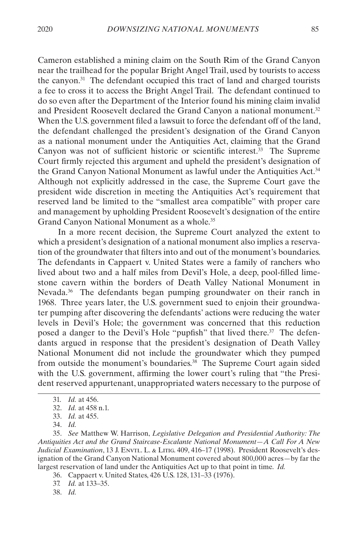Cameron established a mining claim on the South Rim of the Grand Canyon near the trailhead for the popular Bright Angel Trail, used by tourists to access the canyon.31 The defendant occupied this tract of land and charged tourists a fee to cross it to access the Bright Angel Trail. The defendant continued to do so even after the Department of the Interior found his mining claim invalid and President Roosevelt declared the Grand Canyon a national monument.32 When the U.S. government filed a lawsuit to force the defendant off of the land, the defendant challenged the president's designation of the Grand Canyon as a national monument under the Antiquities Act, claiming that the Grand Canyon was not of sufficient historic or scientific interest.33 The Supreme Court firmly rejected this argument and upheld the president's designation of the Grand Canyon National Monument as lawful under the Antiquities Act.34 Although not explicitly addressed in the case, the Supreme Court gave the president wide discretion in meeting the Antiquities Act's requirement that reserved land be limited to the "smallest area compatible" with proper care and management by upholding President Roosevelt's designation of the entire

In a more recent decision, the Supreme Court analyzed the extent to which a president's designation of a national monument also implies a reservation of the groundwater that filters into and out of the monument's boundaries. The defendants in Cappaert v. United States were a family of ranchers who lived about two and a half miles from Devil's Hole, a deep, pool-filled limestone cavern within the borders of Death Valley National Monument in Nevada.<sup>36</sup> The defendants began pumping groundwater on their ranch in 1968. Three years later, the U.S. government sued to enjoin their groundwater pumping after discovering the defendants' actions were reducing the water levels in Devil's Hole; the government was concerned that this reduction posed a danger to the Devil's Hole "pupfish" that lived there.<sup>37</sup> The defendants argued in response that the president's designation of Death Valley National Monument did not include the groundwater which they pumped from outside the monument's boundaries.<sup>38</sup> The Supreme Court again sided with the U.S. government, affirming the lower court's ruling that "the President reserved appurtenant, unappropriated waters necessary to the purpose of

Grand Canyon National Monument as a whole.<sup>35</sup>

<sup>31.</sup> *Id.* at 456.

<sup>32.</sup> *Id.* at 458 n.1.

<sup>33.</sup> *Id.* at 455.

<sup>34.</sup> *Id.*

<sup>35.</sup> *See* Matthew W. Harrison, *Legislative Delegation and Presidential Authority: The Antiquities Act and the Grand Staircase-Escalante National Monument—A Call For A New Judicial Examination*, 13 J. Envtl. L. & Litig. 409, 416–17 (1998). President Roosevelt's designation of the Grand Canyon National Monument covered about 800,000 acres—by far the largest reservation of land under the Antiquities Act up to that point in time. *Id.*

<sup>36.</sup> Cappaert v. United States, 426 U.S. 128, 131–33 (1976).

<sup>37.</sup> *Id.* at 133–35.

<sup>38.</sup> *Id.*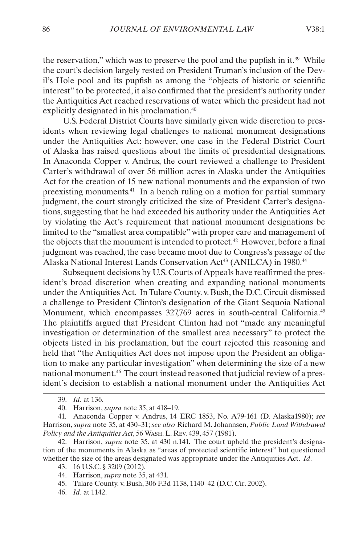the reservation," which was to preserve the pool and the pupfish in it.<sup>39</sup> While the court's decision largely rested on President Truman's inclusion of the Devil's Hole pool and its pupfish as among the "objects of historic or scientific interest" to be protected, it also confirmed that the president's authority under the Antiquities Act reached reservations of water which the president had not explicitly designated in his proclamation.<sup>40</sup>

U.S. Federal District Courts have similarly given wide discretion to presidents when reviewing legal challenges to national monument designations under the Antiquities Act; however, one case in the Federal District Court of Alaska has raised questions about the limits of presidential designations. In Anaconda Copper v. Andrus, the court reviewed a challenge to President Carter's withdrawal of over 56 million acres in Alaska under the Antiquities Act for the creation of 15 new national monuments and the expansion of two preexisting monuments.41 In a bench ruling on a motion for partial summary judgment, the court strongly criticized the size of President Carter's designations, suggesting that he had exceeded his authority under the Antiquities Act by violating the Act's requirement that national monument designations be limited to the "smallest area compatible" with proper care and management of the objects that the monument is intended to protect.<sup>42</sup> However, before a final judgment was reached, the case became moot due to Congress's passage of the Alaska National Interest Lands Conservation Act<sup>43</sup> (ANILCA) in 1980.<sup>44</sup>

Subsequent decisions by U.S. Courts of Appeals have reaffirmed the president's broad discretion when creating and expanding national monuments under the Antiquities Act. In Tulare County. v. Bush, the D.C. Circuit dismissed a challenge to President Clinton's designation of the Giant Sequoia National Monument, which encompasses 327,769 acres in south-central California.<sup>45</sup> The plaintiffs argued that President Clinton had not "made any meaningful investigation or determination of the smallest area necessary" to protect the objects listed in his proclamation, but the court rejected this reasoning and held that "the Antiquities Act does not impose upon the President an obligation to make any particular investigation" when determining the size of a new national monument.46 The court instead reasoned that judicial review of a president's decision to establish a national monument under the Antiquities Act

46. *Id.* at 1142.

<sup>39.</sup> *Id.* at 136.

<sup>40.</sup> Harrison, *supra* note 35, at 418–19.

<sup>41.</sup> Anaconda Copper v. Andrus, 14 ERC 1853, No. A79-161 (D. Alaska1980); *see*  Harrison, *supra* note 35, at 430–31; *see also* Richard M. Johannsen, *Public Land Withdrawal Policy and the Antiquities Act*, 56 Wash. L. Rev. 439, 457 (1981).

<sup>42.</sup> Harrison, *supra* note 35, at 430 n.141. The court upheld the president's designation of the monuments in Alaska as "areas of protected scientific interest" but questioned whether the size of the areas designated was appropriate under the Antiquities Act. *Id*.

<sup>43.</sup> 16 U.S.C. § 3209 (2012).

<sup>44.</sup> Harrison, *supra* note 35, at 431.

<sup>45.</sup> Tulare County. v. Bush, 306 F.3d 1138, 1140–42 (D.C. Cir. 2002).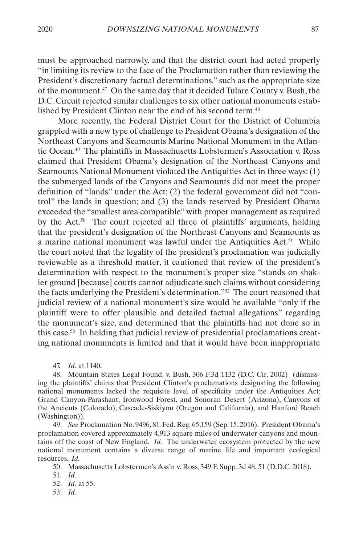must be approached narrowly, and that the district court had acted properly "in limiting its review to the face of the Proclamation rather than reviewing the President's discretionary factual determinations," such as the appropriate size of the monument.47 On the same day that it decided Tulare County v. Bush, the D.C. Circuit rejected similar challenges to six other national monuments established by President Clinton near the end of his second term.48

More recently, the Federal District Court for the District of Columbia grappled with a new type of challenge to President Obama's designation of the Northeast Canyons and Seamounts Marine National Monument in the Atlantic Ocean.49 The plaintiffs in Massachusetts Lobstermen's Association v. Ross claimed that President Obama's designation of the Northeast Canyons and Seamounts National Monument violated the Antiquities Act in three ways: (1) the submerged lands of the Canyons and Seamounts did not meet the proper definition of "lands" under the Act; (2) the federal government did not "control" the lands in question; and (3) the lands reserved by President Obama exceeded the "smallest area compatible" with proper management as required by the Act.50 The court rejected all three of plaintiffs' arguments, holding that the president's designation of the Northeast Canyons and Seamounts as a marine national monument was lawful under the Antiquities Act.<sup>51</sup> While the court noted that the legality of the president's proclamation was judicially reviewable as a threshold matter, it cautioned that review of the president's determination with respect to the monument's proper size "stands on shakier ground [because] courts cannot adjudicate such claims without considering the facts underlying the President's determination."52 The court reasoned that judicial review of a national monument's size would be available "only if the plaintiff were to offer plausible and detailed factual allegations" regarding the monument's size, and determined that the plaintiffs had not done so in this case.53 In holding that judicial review of presidential proclamations creating national monuments is limited and that it would have been inappropriate

53. *Id.*

<sup>47.</sup> *Id.* at 1140.

<sup>48.</sup> Mountain States Legal Found. v. Bush, 306 F.3d 1132 (D.C. Cir. 2002) (dismissing the plaintiffs' claims that President Clinton's proclamations designating the following national monuments lacked the requisite level of specificity under the Antiquities Act: Grand Canyon-Parashant, Ironwood Forest, and Sonoran Desert (Arizona), Canyons of the Ancients (Colorado), Cascade-Siskiyou (Oregon and California), and Hanford Reach (Washington)).

<sup>49.</sup> *See* Proclamation No. 9496, 81. Fed. Reg. 65,159 (Sep. 15, 2016). President Obama's proclamation covered approximately 4,913 square miles of underwater canyons and mountains off the coast of New England. *Id.* The underwater ecosystem protected by the new national monument contains a diverse range of marine life and important ecological resources. *Id.*

<sup>50.</sup> Massachusetts Lobstermen's Ass'n v. Ross, 349 F. Supp. 3d 48, 51 (D.D.C. 2018).

<sup>51.</sup> *Id.*

<sup>52.</sup> *Id.* at 55.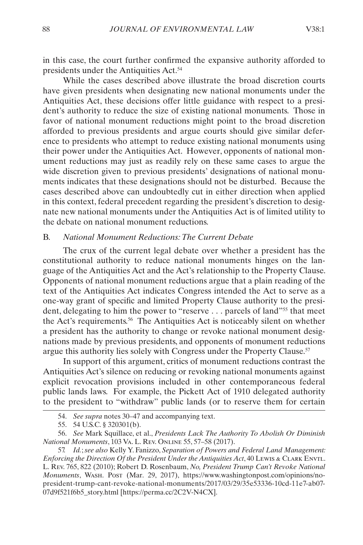<span id="page-10-0"></span>in this case, the court further confirmed the expansive authority afforded to presidents under the Antiquities Act.54

While the cases described above illustrate the broad discretion courts have given presidents when designating new national monuments under the Antiquities Act, these decisions offer little guidance with respect to a president's authority to reduce the size of existing national monuments. Those in favor of national monument reductions might point to the broad discretion afforded to previous presidents and argue courts should give similar deference to presidents who attempt to reduce existing national monuments using their power under the Antiquities Act. However, opponents of national monument reductions may just as readily rely on these same cases to argue the wide discretion given to previous presidents' designations of national monuments indicates that these designations should not be disturbed. Because the cases described above can undoubtedly cut in either direction when applied in this context, federal precedent regarding the president's discretion to designate new national monuments under the Antiquities Act is of limited utility to the debate on national monument reductions.

#### <span id="page-10-1"></span>B. *National Monument Reductions: The Current Debate*

The crux of the current legal debate over whether a president has the constitutional authority to reduce national monuments hinges on the language of the Antiquities Act and the Act's relationship to the Property Clause. Opponents of national monument reductions argue that a plain reading of the text of the Antiquities Act indicates Congress intended the Act to serve as a one-way grant of specific and limited Property Clause authority to the president, delegating to him the power to "reserve . . . parcels of land"55 that meet the Act's requirements.56 The Antiquities Act is noticeably silent on whether a president has the authority to change or revoke national monument designations made by previous presidents, and opponents of monument reductions argue this authority lies solely with Congress under the Property Clause.<sup>57</sup>

In support of this argument, critics of monument reductions contrast the Antiquities Act's silence on reducing or revoking national monuments against explicit revocation provisions included in other contemporaneous federal public lands laws. For example, the Pickett Act of 1910 delegated authority to the president to "withdraw" public lands (or to reserve them for certain

<sup>54.</sup> *See supra* notes 30–47 and accompanying text.

<sup>55.</sup> 54 U.S.C. § 320301(b).

<sup>56.</sup> *See* Mark Squillace, et al., *Presidents Lack The Authority To Abolish Or Diminish National Monuments*, 103 Va. L. Rev. Online 55, 57–58 (2017).

<sup>57.</sup> *Id.*; *see also* Kelly Y. Fanizzo, *Separation of Powers and Federal Land Management: Enforcing the Direction Of the President Under the Antiquities Act*, 40 Lewis & Clark Envtl. L. Rev. 765, 822 (2010); Robert D. Rosenbaum, *No, President Trump Can't Revoke National Monuments*, Wash. Post (Mar. 29, 2017), https://www.washingtonpost.com/opinions/nopresident-trump-cant-revoke-national-monuments/2017/03/29/35e53336-10cd-11e7-ab07- 07d9f521f6b5\_story.html [https://perma.cc/2C2V-N4CX].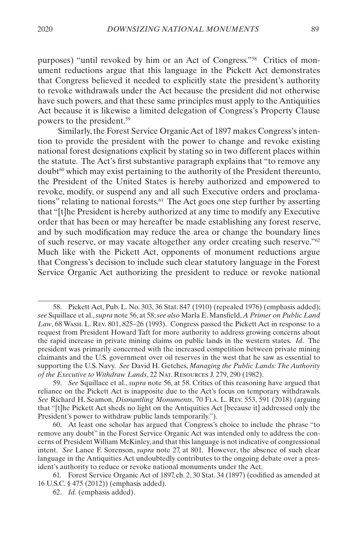purposes) "until revoked by him or an Act of Congress."58 Critics of monument reductions argue that this language in the Pickett Act demonstrates that Congress believed it needed to explicitly state the president's authority to revoke withdrawals under the Act because the president did not otherwise have such powers, and that these same principles must apply to the Antiquities Act because it is likewise a limited delegation of Congress's Property Clause powers to the president.59

Similarly, the Forest Service Organic Act of 1897 makes Congress's intention to provide the president with the power to change and revoke existing national forest designations explicit by stating so in two different places within the statute. The Act's first substantive paragraph explains that "to remove any  $d$ oubt<sup> $60$ </sup> which may exist pertaining to the authority of the President thereunto, the President of the United States is hereby authorized and empowered to revoke, modify, or suspend any and all such Executive orders and proclamations" relating to national forests.<sup>61</sup> The Act goes one step further by asserting that "[t]he President is hereby authorized at any time to modify any Executive order that has been or may hereafter be made establishing any forest reserve, and by such modification may reduce the area or change the boundary lines of such reserve, or may vacate altogether any order creating such reserve."62 Much like with the Pickett Act, opponents of monument reductions argue that Congress's decision to include such clear statutory language in the Forest Service Organic Act authorizing the president to reduce or revoke national

<sup>58.</sup> Pickett Act, Pub. L. No. 303, 36 Stat. 847 (1910) (repealed 1976) (emphasis added); *see* Squillace et al., *supra* note 56, at 58; *see also* Marla E. Mansfield, *A Primer on Public Land Law*, 68 Wash. L. Rev. 801, 825–26 (1993). Congress passed the Pickett Act in response to a request from President Howard Taft for more authority to address growing concerns about the rapid increase in private mining claims on public lands in the western states. *Id*. The president was primarily concerned with the increased competition between private mining claimants and the U.S. government over oil reserves in the west that he saw as essential to supporting the U.S. Navy. *See* David H. Getches, *Managing the Public Lands: The Authority of the Executive to Withdraw Lands*, 22 Nat. Resources J. 279, 290 (1982).

<sup>59.</sup> *See* Squillace et al., *supra* note 56, at 58. Critics of this reasoning have argued that reliance on the Pickett Act is inapposite due to the Act's focus on temporary withdrawals. *See* Richard H. Seamon, *Dismantling Monuments*, 70 Fla. L. Rev. 553, 591 (2018) (arguing that "[t]he Pickett Act sheds no light on the Antiquities Act [because it] addressed only the President's power to withdraw public lands temporarily.").

<sup>60.</sup> At least one scholar has argued that Congress's choice to include the phrase "to remove any doubt" in the Forest Service Organic Act was intended only to address the concerns of President William McKinley, and that this language is not indicative of congressional intent. *See* Lance F. Sorenson, *supra* note 27, at 801. However, the absence of such clear language in the Antiquities Act undoubtedly contributes to the ongoing debate over a president's authority to reduce or revoke national monuments under the Act.

<sup>61.</sup> Forest Service Organic Act of 1897, ch. 2, 30 Stat. 34 (1897) (codified as amended at 16 U.S.C. § 475 (2012)) (emphasis added).

<sup>62.</sup> *Id.* (emphasis added).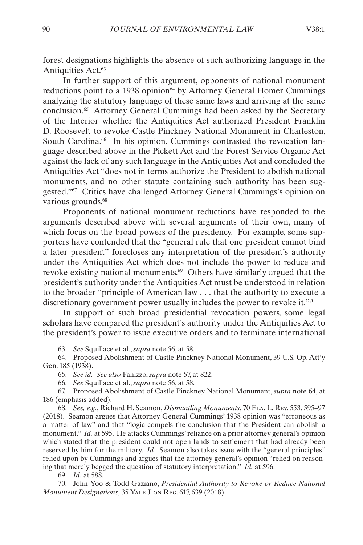forest designations highlights the absence of such authorizing language in the Antiquities Act.<sup>63</sup>

In further support of this argument, opponents of national monument reductions point to a 1938 opinion<sup>64</sup> by Attorney General Homer Cummings analyzing the statutory language of these same laws and arriving at the same conclusion.<sup>65</sup> Attorney General Cummings had been asked by the Secretary of the Interior whether the Antiquities Act authorized President Franklin D. Roosevelt to revoke Castle Pinckney National Monument in Charleston, South Carolina.<sup>66</sup> In his opinion, Cummings contrasted the revocation language described above in the Pickett Act and the Forest Service Organic Act against the lack of any such language in the Antiquities Act and concluded the Antiquities Act "does not in terms authorize the President to abolish national monuments, and no other statute containing such authority has been suggested."67 Critics have challenged Attorney General Cummings's opinion on various grounds.<sup>68</sup>

Proponents of national monument reductions have responded to the arguments described above with several arguments of their own, many of which focus on the broad powers of the presidency. For example, some supporters have contended that the "general rule that one president cannot bind a later president" forecloses any interpretation of the president's authority under the Antiquities Act which does not include the power to reduce and revoke existing national monuments.69 Others have similarly argued that the president's authority under the Antiquities Act must be understood in relation to the broader "principle of American law . . . that the authority to execute a discretionary government power usually includes the power to revoke it."70

In support of such broad presidential revocation powers, some legal scholars have compared the president's authority under the Antiquities Act to the president's power to issue executive orders and to terminate international

67. Proposed Abolishment of Castle Pinckney National Monument, *supra* note 64, at 186 (emphasis added).

68. *See, e.g.*, Richard H. Seamon, *Dismantling Monuments*, 70 Fla. L. Rev. 553, 595–97 (2018). Seamon argues that Attorney General Cummings' 1938 opinion was "erroneous as a matter of law" and that "logic compels the conclusion that the President can abolish a monument." *Id.* at 595. He attacks Cummings' reliance on a prior attorney general's opinion which stated that the president could not open lands to settlement that had already been reserved by him for the military. *Id.* Seamon also takes issue with the "general principles" relied upon by Cummings and argues that the attorney general's opinion "relied on reasoning that merely begged the question of statutory interpretation." *Id.* at 596.

69. *Id.* at 588.

70. John Yoo & Todd Gaziano, *Presidential Authority to Revoke or Reduce National Monument Designations*, 35 Yale J. on Reg. 617, 639 (2018).

<sup>63.</sup> *See* Squillace et al., *supra* note 56, at 58.

<sup>64.</sup> Proposed Abolishment of Castle Pinckney National Monument, 39 U.S. Op. Att'y Gen. 185 (1938).

<sup>65.</sup> *See id. See also* Fanizzo, *supra* note 57, at 822.

<sup>66.</sup> *See* Squillace et al., *supra* note 56, at 58.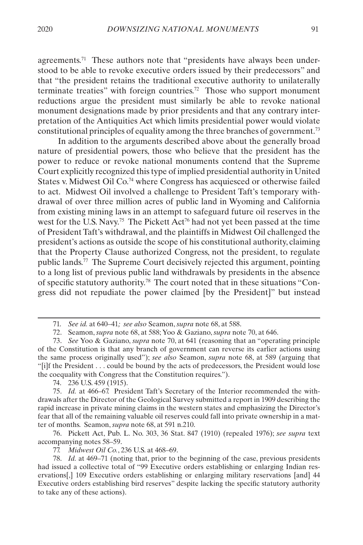agreements.71 These authors note that "presidents have always been understood to be able to revoke executive orders issued by their predecessors" and that "the president retains the traditional executive authority to unilaterally terminate treaties" with foreign countries.72 Those who support monument reductions argue the president must similarly be able to revoke national monument designations made by prior presidents and that any contrary interpretation of the Antiquities Act which limits presidential power would violate constitutional principles of equality among the three branches of government.73

In addition to the arguments described above about the generally broad nature of presidential powers, those who believe that the president has the power to reduce or revoke national monuments contend that the Supreme Court explicitly recognized this type of implied presidential authority in United States v. Midwest Oil Co.74 where Congress has acquiesced or otherwise failed to act. Midwest Oil involved a challenge to President Taft's temporary withdrawal of over three million acres of public land in Wyoming and California from existing mining laws in an attempt to safeguard future oil reserves in the west for the U.S. Navy.<sup>75</sup> The Pickett Act<sup>76</sup> had not yet been passed at the time of President Taft's withdrawal, and the plaintiffs in Midwest Oil challenged the president's actions as outside the scope of his constitutional authority, claiming that the Property Clause authorized Congress, not the president, to regulate public lands.77 The Supreme Court decisively rejected this argument, pointing to a long list of previous public land withdrawals by presidents in the absence of specific statutory authority.78 The court noted that in these situations "Congress did not repudiate the power claimed [by the President]" but instead

74. 236 U.S. 459 (1915).

77. *Midwest Oil Co.*, 236 U.S. at 468–69.

78. *Id.* at 469–71 (noting that, prior to the beginning of the case, previous presidents had issued a collective total of "99 Executive orders establishing or enlarging Indian reservations[,] 109 Executive orders establishing or enlarging military reservations [and] 44 Executive orders establishing bird reserves" despite lacking the specific statutory authority to take any of these actions).

<sup>71.</sup> *See id.* at 640–41*; see also* Seamon, *supra* note 68, at 588.

<sup>72.</sup> Seamon, *supra* note 68, at 588; Yoo & Gaziano, *supra* note 70, at 646.

<sup>73.</sup> *See* Yoo & Gaziano, *supra* note 70, at 641 (reasoning that an "operating principle of the Constitution is that any branch of government can reverse its earlier actions using the same process originally used"); *see also* Seamon, *supra* note 68, at 589 (arguing that "[i]f the President . . . could be bound by the acts of predecessors, the President would lose the coequality with Congress that the Constitution requires.").

<sup>75.</sup> *Id.* at 466–67. President Taft's Secretary of the Interior recommended the withdrawals after the Director of the Geological Survey submitted a report in 1909 describing the rapid increase in private mining claims in the western states and emphasizing the Director's fear that all of the remaining valuable oil reserves could fall into private ownership in a matter of months. Seamon, *supra* note 68, at 591 n.210.

<sup>76.</sup> Pickett Act, Pub. L. No. 303, 36 Stat. 847 (1910) (repealed 1976); *see supra* text accompanying notes 58–59.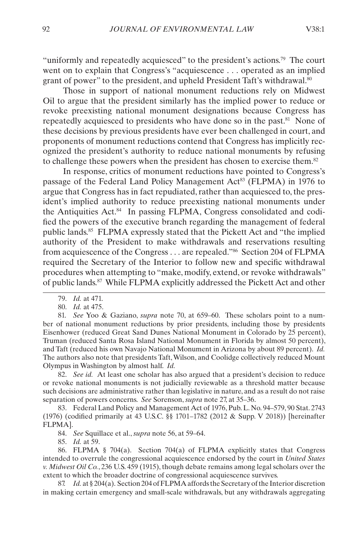"uniformly and repeatedly acquiesced" to the president's actions.<sup>79</sup> The court went on to explain that Congress's "acquiescence . . . operated as an implied grant of power" to the president, and upheld President Taft's withdrawal.<sup>80</sup>

Those in support of national monument reductions rely on Midwest Oil to argue that the president similarly has the implied power to reduce or revoke preexisting national monument designations because Congress has repeatedly acquiesced to presidents who have done so in the past.81 None of these decisions by previous presidents have ever been challenged in court, and proponents of monument reductions contend that Congress has implicitly recognized the president's authority to reduce national monuments by refusing to challenge these powers when the president has chosen to exercise them.<sup>82</sup>

In response, critics of monument reductions have pointed to Congress's passage of the Federal Land Policy Management Act<sup>83</sup> (FLPMA) in 1976 to argue that Congress has in fact repudiated, rather than acquiesced to, the president's implied authority to reduce preexisting national monuments under the Antiquities Act.84 In passing FLPMA, Congress consolidated and codified the powers of the executive branch regarding the management of federal public lands.85 FLPMA expressly stated that the Pickett Act and "the implied authority of the President to make withdrawals and reservations resulting from acquiescence of the Congress . . . are repealed."86 Section 204 of FLPMA required the Secretary of the Interior to follow new and specific withdrawal procedures when attempting to "make, modify, extend, or revoke withdrawals" of public lands.87 While FLPMA explicitly addressed the Pickett Act and other

82. *See id.* At least one scholar has also argued that a president's decision to reduce or revoke national monuments is not judicially reviewable as a threshold matter because such decisions are administrative rather than legislative in nature, and as a result do not raise separation of powers concerns. *See* Sorenson, *supra* note 27, at 35–36.

83. Federal Land Policy and Management Act of 1976, Pub. L. No. 94–579, 90 Stat. 2743 (1976) (codified primarily at 43 U.S.C. §§ 1701–1782 (2012 & Supp. V 2018)) [hereinafter FLPMA].

84. *See* Squillace et al., *supra* note 56, at 59–64.

85. *Id.* at 59.

86. FLPMA § 704(a). Section 704(a) of FLPMA explicitly states that Congress intended to overrule the congressional acquiescence endorsed by the court in *United States v. Midwest Oil Co.*, 236 U.S. 459 (1915), though debate remains among legal scholars over the extent to which the broader doctrine of congressional acquiescence survives.

87. *Id.* at § 204(a). Section 204 of FLPMA affords the Secretary of the Interior discretion in making certain emergency and small-scale withdrawals, but any withdrawals aggregating

<sup>79.</sup> *Id.* at 471.

<sup>80.</sup> *Id.* at 475.

<sup>81.</sup> *See* Yoo & Gaziano, *supra* note 70, at 659–60. These scholars point to a number of national monument reductions by prior presidents, including those by presidents Eisenhower (reduced Great Sand Dunes National Monument in Colorado by 25 percent), Truman (reduced Santa Rosa Island National Monument in Florida by almost 50 percent), and Taft (reduced his own Navajo National Monument in Arizona by about 89 percent). *Id.* The authors also note that presidents Taft, Wilson, and Coolidge collectively reduced Mount Olympus in Washington by almost half. *Id.*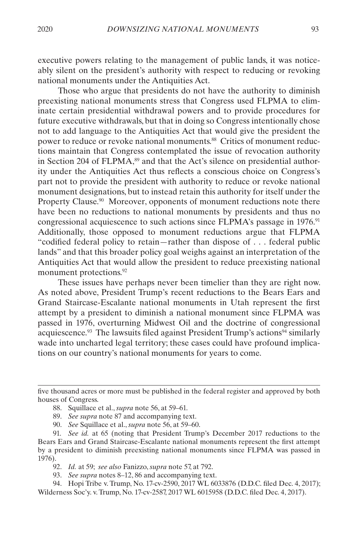executive powers relating to the management of public lands, it was noticeably silent on the president's authority with respect to reducing or revoking national monuments under the Antiquities Act.

Those who argue that presidents do not have the authority to diminish preexisting national monuments stress that Congress used FLPMA to eliminate certain presidential withdrawal powers and to provide procedures for future executive withdrawals, but that in doing so Congress intentionally chose not to add language to the Antiquities Act that would give the president the power to reduce or revoke national monuments.88 Critics of monument reductions maintain that Congress contemplated the issue of revocation authority in Section 204 of FLPMA,<sup>89</sup> and that the Act's silence on presidential authority under the Antiquities Act thus reflects a conscious choice on Congress's part not to provide the president with authority to reduce or revoke national monument designations, but to instead retain this authority for itself under the Property Clause.<sup>90</sup> Moreover, opponents of monument reductions note there have been no reductions to national monuments by presidents and thus no congressional acquiescence to such actions since FLPMA's passage in 1976.<sup>91</sup> Additionally, those opposed to monument reductions argue that FLPMA "codified federal policy to retain—rather than dispose of . . . federal public lands" and that this broader policy goal weighs against an interpretation of the Antiquities Act that would allow the president to reduce preexisting national monument protections.<sup>92</sup>

These issues have perhaps never been timelier than they are right now. As noted above, President Trump's recent reductions to the Bears Ears and Grand Staircase-Escalante national monuments in Utah represent the first attempt by a president to diminish a national monument since FLPMA was passed in 1976, overturning Midwest Oil and the doctrine of congressional acquiescence.<sup>93</sup> The lawsuits filed against President Trump's actions<sup>94</sup> similarly wade into uncharted legal territory; these cases could have profound implications on our country's national monuments for years to come.

92. *Id.* at 59; *see also* Fanizzo, *supra* note 57, at 792.

93. *See supra* notes 8–12, 86 and accompanying text.

94. Hopi Tribe v. Trump, No. 17-cv-2590, 2017 WL 6033876 (D.D.C. filed Dec. 4, 2017); Wilderness Soc'y. v. Trump, No. 17-cv-2587, 2017 WL 6015958 (D.D.C. filed Dec. 4, 2017).

five thousand acres or more must be published in the federal register and approved by both houses of Congress.

<sup>88.</sup> Squillace et al., *supra* note 56, at 59–61.

<sup>89.</sup> *See supra* note 87 and accompanying text.

<sup>90.</sup> *See* Squillace et al., *supra* note 56, at 59–60.

<sup>91.</sup> *See id.* at 65 (noting that President Trump's December 2017 reductions to the Bears Ears and Grand Staircase-Escalante national monuments represent the first attempt by a president to diminish preexisting national monuments since FLPMA was passed in 1976).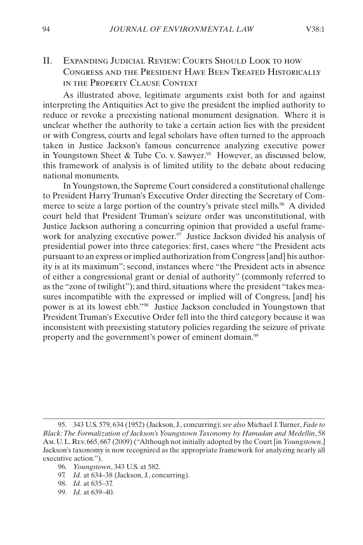### <span id="page-16-1"></span><span id="page-16-0"></span>II. Expanding Judicial Review: Courts Should Look to how Congress and the President Have Been Treated Historically in the Property Clause Context

As illustrated above, legitimate arguments exist both for and against interpreting the Antiquities Act to give the president the implied authority to reduce or revoke a preexisting national monument designation. Where it is unclear whether the authority to take a certain action lies with the president or with Congress, courts and legal scholars have often turned to the approach taken in Justice Jackson's famous concurrence analyzing executive power in Youngstown Sheet & Tube Co. v. Sawyer.<sup>95</sup> However, as discussed below, this framework of analysis is of limited utility to the debate about reducing national monuments.

In Youngstown, the Supreme Court considered a constitutional challenge to President Harry Truman's Executive Order directing the Secretary of Commerce to seize a large portion of the country's private steel mills.<sup>96</sup> A divided court held that President Truman's seizure order was unconstitutional, with Justice Jackson authoring a concurring opinion that provided a useful framework for analyzing executive power.<sup>97</sup> Justice Jackson divided his analysis of presidential power into three categories: first, cases where "the President acts pursuant to an express or implied authorization from Congress [and] his authority is at its maximum"; second, instances where "the President acts in absence of either a congressional grant or denial of authority" (commonly referred to as the "zone of twilight"); and third, situations where the president "takes measures incompatible with the expressed or implied will of Congress, [and] his power is at its lowest ebb."98 Justice Jackson concluded in Youngstown that President Truman's Executive Order fell into the third category because it was inconsistent with preexisting statutory policies regarding the seizure of private property and the government's power of eminent domain.<sup>99</sup>

- 97. *Id.* at 634–38 (Jackson, J., concurring).
- 98. *Id.* at 635–37.
- 99. *Id.* at 639–40.

<sup>95.</sup> 343 U.S. 579, 634 (1952) (Jackson, J., concurring); *see also* Michael J. Turner, *Fade to Black: The Formalization of Jackson's Youngstown Taxonomy by Hamadan and Medellin*, 58 Am. U. L. Rev. 665, 667 (2009) ("Although not initially adopted by the Court [in *Youngstown*,] Jackson's taxonomy is now recognized as the appropriate framework for analyzing nearly all executive action.").

<sup>96.</sup> *Youngstown*, 343 U.S. at 582.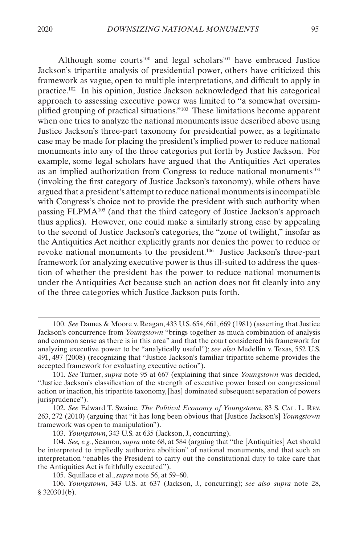Although some courts<sup>100</sup> and legal scholars<sup>101</sup> have embraced Justice Jackson's tripartite analysis of presidential power, others have criticized this framework as vague, open to multiple interpretations, and difficult to apply in practice.102 In his opinion, Justice Jackson acknowledged that his categorical approach to assessing executive power was limited to "a somewhat oversimplified grouping of practical situations."103 These limitations become apparent when one tries to analyze the national monuments issue described above using Justice Jackson's three-part taxonomy for presidential power, as a legitimate case may be made for placing the president's implied power to reduce national monuments into any of the three categories put forth by Justice Jackson. For example, some legal scholars have argued that the Antiquities Act operates as an implied authorization from Congress to reduce national monuments104 (invoking the first category of Justice Jackson's taxonomy), while others have argued that a president's attempt to reduce national monuments is incompatible with Congress's choice not to provide the president with such authority when passing FLPMA105 (and that the third category of Justice Jackson's approach thus applies). However, one could make a similarly strong case by appealing to the second of Justice Jackson's categories, the "zone of twilight," insofar as the Antiquities Act neither explicitly grants nor denies the power to reduce or revoke national monuments to the president.106 Justice Jackson's three-part framework for analyzing executive power is thus ill-suited to address the question of whether the president has the power to reduce national monuments under the Antiquities Act because such an action does not fit cleanly into any of the three categories which Justice Jackson puts forth.

<sup>100.</sup> *See* Dames & Moore v. Reagan, 433 U.S. 654, 661, 669 (1981) (asserting that Justice Jackson's concurrence from *Youngstown* "brings together as much combination of analysis and common sense as there is in this area" and that the court considered his framework for analyzing executive power to be "analytically useful"); *see also* Medellin v. Texas, 552 U.S. 491, 497 (2008) (recognizing that "Justice Jackson's familiar tripartite scheme provides the accepted framework for evaluating executive action").

<sup>101.</sup> *See* Turner, *supra* note 95 at 667 (explaining that since *Youngstown* was decided, "Justice Jackson's classification of the strength of executive power based on congressional action or inaction, his tripartite taxonomy, [has] dominated subsequent separation of powers jurisprudence").

<sup>102.</sup> *See* Edward T. Swaine, *The Political Economy of Youngstown*, 83 S. Cal. L. Rev. 263, 272 (2010) (arguing that "it has long been obvious that [Justice Jackson's] *Youngstown* framework was open to manipulation").

<sup>103.</sup> *Youngstown*, 343 U.S. at 635 (Jackson, J., concurring).

<sup>104.</sup> *See, e.g.*, Seamon, *supra* note 68, at 584 (arguing that "the [Antiquities] Act should be interpreted to impliedly authorize abolition" of national monuments, and that such an interpretation "enables the President to carry out the constitutional duty to take care that the Antiquities Act is faithfully executed").

<sup>105.</sup> Squillace et al., *supra* note 56, at 59–60.

<sup>106.</sup> *Youngstown*, 343 U.S. at 637 (Jackson, J., concurring); *see also supra* note 28,  $§$  320301(b).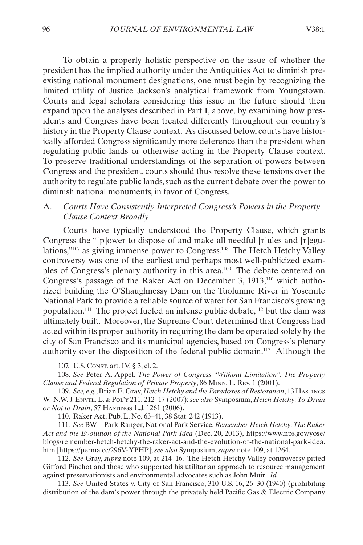<span id="page-18-0"></span>To obtain a properly holistic perspective on the issue of whether the president has the implied authority under the Antiquities Act to diminish preexisting national monument designations, one must begin by recognizing the limited utility of Justice Jackson's analytical framework from Youngstown. Courts and legal scholars considering this issue in the future should then expand upon the analyses described in Part [I](#page-6-1), above, by examining how presidents and Congress have been treated differently throughout our country's history in the Property Clause context. As discussed below, courts have historically afforded Congress significantly more deference than the president when regulating public lands or otherwise acting in the Property Clause context. To preserve traditional understandings of the separation of powers between Congress and the president, courts should thus resolve these tensions over the authority to regulate public lands, such as the current debate over the power to diminish national monuments, in favor of Congress.

#### A. *Courts Have Consistently Interpreted Congress's Powers in the Property Clause Context Broadly*

Courts have typically understood the Property Clause, which grants Congress the "[p]ower to dispose of and make all needful [r]ules and [r]egulations,"107 as giving immense power to Congress.108 The Hetch Hetchy Valley controversy was one of the earliest and perhaps most well-publicized examples of Congress's plenary authority in this area.109 The debate centered on Congress's passage of the Raker Act on December 3, 1913,<sup>110</sup> which authorized building the O'Shaughnessy Dam on the Tuolumne River in Yosemite National Park to provide a reliable source of water for San Francisco's growing population.111 The project fueled an intense public debate,112 but the dam was ultimately built. Moreover, the Supreme Court determined that Congress had acted within its proper authority in requiring the dam be operated solely by the city of San Francisco and its municipal agencies, based on Congress's plenary authority over the disposition of the federal public domain.113 Although the

109. *See, e.g.*, Brian E. Gray, *Hetch Hetchy and the Paradoxes of Restoration*, 13 Hastings W.-N.W. J. Envtl. L. & Pol'y 211, 212–17 (2007); *see also* Symposium, *Hetch Hetchy: To Drain or Not to Drain*, 57 Hastings L.J. 1261 (2006).

110. Raker Act, Pub. L. No. 63–41, 38 Stat. 242 (1913).

111. *See* BW—Park Ranger, National Park Service, *Remember Hetch Hetchy: The Raker Act and the Evolution of the National Park Idea* (Dec. 20, 2013), https://www.nps.gov/yose/ blogs/remember-hetch-hetchy-the-raker-act-and-the-evolution-of-the-national-park-idea. htm [https://perma.cc/296V-YPHP]; *see also* Symposium, *supra* note 109, at 1264.

112. *See* Gray, *supra* note 109, at 214–16. The Hetch Hetchy Valley controversy pitted Gifford Pinchot and those who supported his utilitarian approach to resource management against preservationists and environmental advocates such as John Muir. *Id.*

113. *See* United States v. City of San Francisco, 310 U.S. 16, 26–30 (1940) (prohibiting distribution of the dam's power through the privately held Pacific Gas & Electric Company

<sup>107.</sup> U.S. Const. art. IV, § 3, cl. 2.

<sup>108.</sup> *See* Peter A. Appel, *The Power of Congress "Without Limitation": The Property Clause and Federal Regulation of Private Property*, 86 Minn. L. Rev. 1 (2001).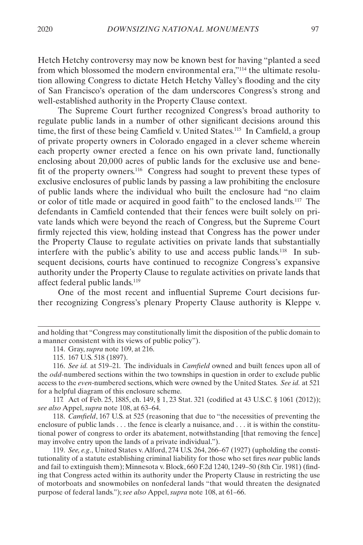Hetch Hetchy controversy may now be known best for having "planted a seed from which blossomed the modern environmental era,"114 the ultimate resolution allowing Congress to dictate Hetch Hetchy Valley's flooding and the city of San Francisco's operation of the dam underscores Congress's strong and well-established authority in the Property Clause context.

The Supreme Court further recognized Congress's broad authority to regulate public lands in a number of other significant decisions around this time, the first of these being Camfield v. United States.115 In Camfield, a group of private property owners in Colorado engaged in a clever scheme wherein each property owner erected a fence on his own private land, functionally enclosing about 20,000 acres of public lands for the exclusive use and benefit of the property owners.116 Congress had sought to prevent these types of exclusive enclosures of public lands by passing a law prohibiting the enclosure of public lands where the individual who built the enclosure had "no claim or color of title made or acquired in good faith" to the enclosed lands.117 The defendants in Camfield contended that their fences were built solely on private lands which were beyond the reach of Congress, but the Supreme Court firmly rejected this view, holding instead that Congress has the power under the Property Clause to regulate activities on private lands that substantially interfere with the public's ability to use and access public lands.118 In subsequent decisions, courts have continued to recognize Congress's expansive authority under the Property Clause to regulate activities on private lands that affect federal public lands.119

One of the most recent and influential Supreme Court decisions further recognizing Congress's plenary Property Clause authority is Kleppe v.

117. Act of Feb. 25, 1885, ch. 149, § 1, 23 Stat. 321 (codified at 43 U.S.C. § 1061 (2012)); *see also* Appel, *supra* note 108, at 63–64.

118. *Camfield*, 167 U.S. at 525 (reasoning that due to "the necessities of preventing the enclosure of public lands . . . the fence is clearly a nuisance, and . . . it is within the constitutional power of congress to order its abatement, notwithstanding [that removing the fence] may involve entry upon the lands of a private individual.").

119. *See, e.g*., United States v. Alford, 274 U.S. 264, 266–67 (1927) (upholding the constitutionality of a statute establishing criminal liability for those who set fires *near* public lands and fail to extinguish them); Minnesota v. Block, 660 F.2d 1240, 1249–50 (8th Cir. 1981) (finding that Congress acted within its authority under the Property Clause in restricting the use of motorboats and snowmobiles on nonfederal lands "that would threaten the designated purpose of federal lands."); *see also* Appel, *supra* note 108, at 61–66.

and holding that "Congress may constitutionally limit the disposition of the public domain to a manner consistent with its views of public policy").

<sup>114.</sup> Gray, *supra* note 109, at 216.

<sup>115.</sup> 167 U.S. 518 (1897).

<sup>116.</sup> *See id.* at 519–21. The individuals in *Camfield* owned and built fences upon all of the *odd*-numbered sections within the two townships in question in order to exclude public access to the *even*-numbered sections, which were owned by the United States. *See id.* at 521 for a helpful diagram of this enclosure scheme.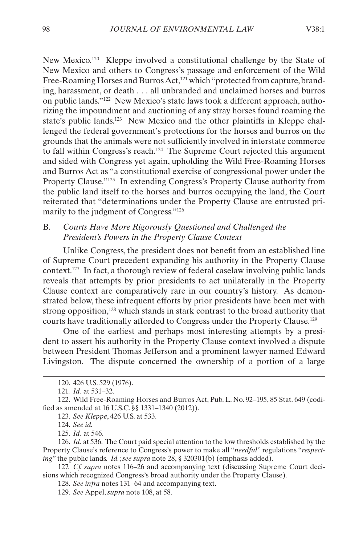<span id="page-20-0"></span>New Mexico.120 Kleppe involved a constitutional challenge by the State of New Mexico and others to Congress's passage and enforcement of the Wild Free-Roaming Horses and Burros Act,<sup>121</sup> which "protected from capture, branding, harassment, or death . . . all unbranded and unclaimed horses and burros on public lands."122 New Mexico's state laws took a different approach, authorizing the impoundment and auctioning of any stray horses found roaming the state's public lands.<sup>123</sup> New Mexico and the other plaintiffs in Kleppe challenged the federal government's protections for the horses and burros on the grounds that the animals were not sufficiently involved in interstate commerce to fall within Congress's reach.124 The Supreme Court rejected this argument and sided with Congress yet again, upholding the Wild Free-Roaming Horses and Burros Act as "a constitutional exercise of congressional power under the Property Clause."125 In extending Congress's Property Clause authority from the public land itself to the horses and burros occupying the land, the Court reiterated that "determinations under the Property Clause are entrusted primarily to the judgment of Congress."126

#### B. *Courts Have More Rigorously Questioned and Challenged the President's Powers in the Property Clause Context*

Unlike Congress, the president does not benefit from an established line of Supreme Court precedent expanding his authority in the Property Clause context.127 In fact, a thorough review of federal caselaw involving public lands reveals that attempts by prior presidents to act unilaterally in the Property Clause context are comparatively rare in our country's history. As demonstrated below, these infrequent efforts by prior presidents have been met with strong opposition,<sup>128</sup> which stands in stark contrast to the broad authority that courts have traditionally afforded to Congress under the Property Clause.<sup>129</sup>

One of the earliest and perhaps most interesting attempts by a president to assert his authority in the Property Clause context involved a dispute between President Thomas Jefferson and a prominent lawyer named Edward Livingston. The dispute concerned the ownership of a portion of a large

124. *See id.*

125. *Id.* at 546.

<sup>120.</sup> 426 U.S. 529 (1976).

<sup>121.</sup> *Id.* at 531–32.

<sup>122.</sup> Wild Free-Roaming Horses and Burros Act, Pub. L. No. 92–195, 85 Stat. 649 (codified as amended at 16 U.S.C. §§ 1331–1340 (2012)).

<sup>123.</sup> *See Kleppe*, 426 U.S. at 533.

<sup>126.</sup> *Id.* at 536. The Court paid special attention to the low thresholds established by the Property Clause's reference to Congress's power to make all "*needful*" regulations "*respecting*" the public lands. *Id.*; *see supra* note 28, § 320301(b) (emphasis added).

<sup>127.</sup> *Cf. supra* notes 116–26 and accompanying text (discussing Supreme Court decisions which recognized Congress's broad authority under the Property Clause).

<sup>128.</sup> *See infra* notes 131–64 and accompanying text.

<sup>129.</sup> *See* Appel, *supra* note 108, at 58.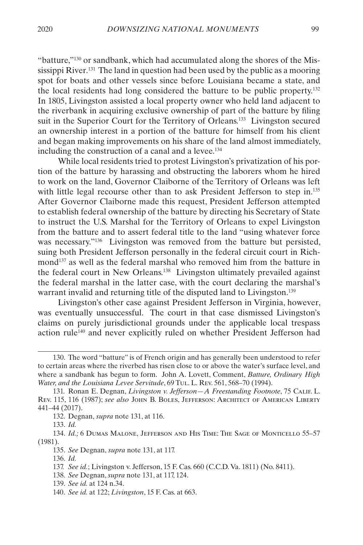"batture,"130 or sandbank, which had accumulated along the shores of the Mississippi River.<sup>131</sup> The land in question had been used by the public as a mooring spot for boats and other vessels since before Louisiana became a state, and the local residents had long considered the batture to be public property.132 In 1805, Livingston assisted a local property owner who held land adjacent to the riverbank in acquiring exclusive ownership of part of the batture by filing suit in the Superior Court for the Territory of Orleans.<sup>133</sup> Livingston secured an ownership interest in a portion of the batture for himself from his client and began making improvements on his share of the land almost immediately, including the construction of a canal and a levee.<sup>134</sup>

While local residents tried to protest Livingston's privatization of his portion of the batture by harassing and obstructing the laborers whom he hired to work on the land, Governor Claiborne of the Territory of Orleans was left with little legal recourse other than to ask President Jefferson to step in.<sup>135</sup> After Governor Claiborne made this request, President Jefferson attempted to establish federal ownership of the batture by directing his Secretary of State to instruct the U.S. Marshal for the Territory of Orleans to expel Livingston from the batture and to assert federal title to the land "using whatever force was necessary."136 Livingston was removed from the batture but persisted, suing both President Jefferson personally in the federal circuit court in Richmond137 as well as the federal marshal who removed him from the batture in the federal court in New Orleans.138 Livingston ultimately prevailed against the federal marshal in the latter case, with the court declaring the marshal's warrant invalid and returning title of the disputed land to Livingston.<sup>139</sup>

Livingston's other case against President Jefferson in Virginia, however, was eventually unsuccessful. The court in that case dismissed Livingston's claims on purely jurisdictional grounds under the applicable local trespass action rule140 and never explicitly ruled on whether President Jefferson had

<sup>130.</sup> The word "batture" is of French origin and has generally been understood to refer to certain areas where the riverbed has risen close to or above the water's surface level, and where a sandbank has begun to form. John A. Lovett, Comment, *Batture, Ordinary High Water, and the Louisiana Levee Servitude*, 69 Tul. L. Rev. 561, 568–70 (1994).

<sup>131.</sup> Ronan E. Degnan, *Livingston v. Jefferson—A Freestanding Footnote*, 75 Calif. L. Rev. 115, 116 (1987); *see also* John B. Boles, Jefferson: Architect of American Liberty 441–44 (2017).

<sup>132.</sup> Degnan, *supra* note 131, at 116.

<sup>133.</sup> *Id.*

<sup>134.</sup> *Id.;* 6 Dumas Malone, Jefferson and His Time: The Sage of Monticello 55–57 (1981).

<sup>135.</sup> *See* Degnan, *supra* note 131, at 117.

<sup>136.</sup> *Id.*

<sup>137.</sup> *See id.*; Livingston v. Jefferson, 15 F. Cas. 660 (C.C.D. Va. 1811) (No. 8411).

<sup>138.</sup> *See* Degnan, *supra* note 131, at 117, 124.

<sup>139.</sup> *See id.* at 124 n.34.

<sup>140.</sup> *See id.* at 122; *Livingston*, 15 F. Cas. at 663.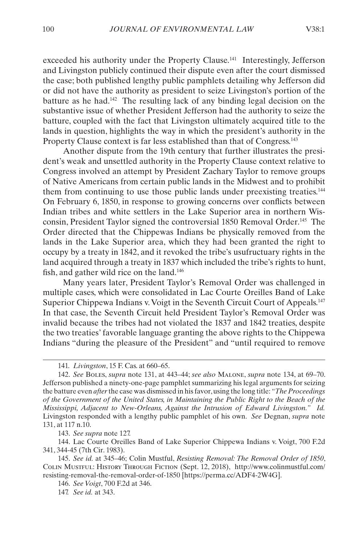exceeded his authority under the Property Clause.<sup>141</sup> Interestingly, Jefferson and Livingston publicly continued their dispute even after the court dismissed the case; both published lengthy public pamphlets detailing why Jefferson did or did not have the authority as president to seize Livingston's portion of the batture as he had.142 The resulting lack of any binding legal decision on the substantive issue of whether President Jefferson had the authority to seize the batture, coupled with the fact that Livingston ultimately acquired title to the lands in question, highlights the way in which the president's authority in the Property Clause context is far less established than that of Congress.<sup>143</sup>

Another dispute from the 19th century that further illustrates the president's weak and unsettled authority in the Property Clause context relative to Congress involved an attempt by President Zachary Taylor to remove groups of Native Americans from certain public lands in the Midwest and to prohibit them from continuing to use those public lands under preexisting treaties.144 On February 6, 1850, in response to growing concerns over conflicts between Indian tribes and white settlers in the Lake Superior area in northern Wisconsin, President Taylor signed the controversial 1850 Removal Order.145 The Order directed that the Chippewas Indians be physically removed from the lands in the Lake Superior area, which they had been granted the right to occupy by a treaty in 1842, and it revoked the tribe's usufructuary rights in the land acquired through a treaty in 1837 which included the tribe's rights to hunt, fish, and gather wild rice on the land.146

Many years later, President Taylor's Removal Order was challenged in multiple cases, which were consolidated in Lac Courte Oreilles Band of Lake Superior Chippewa Indians v. Voigt in the Seventh Circuit Court of Appeals.<sup>147</sup> In that case, the Seventh Circuit held President Taylor's Removal Order was invalid because the tribes had not violated the 1837 and 1842 treaties, despite the two treaties' favorable language granting the above rights to the Chippewa Indians "during the pleasure of the President" and "until required to remove

143. *See supra* note 127.

144. Lac Courte Oreilles Band of Lake Superior Chippewa Indians v. Voigt, 700 F.2d 341, 344-45 (7th Cir. 1983).

<sup>141.</sup> *Livingston*, 15 F. Cas. at 660–65.

<sup>142.</sup> *See* Boles, *supra* note 131, at 443–44; *see also* Malone, *supra* note 134, at 69–70. Jefferson published a ninety-one-page pamphlet summarizing his legal arguments for seizing the batture even *after* the case was dismissed in his favor, using the long title: *"The Proceedings of the Government of the United States, in Maintaining the Public Right to the Beach of the Mississippi, Adjacent to New-Orleans, Against the Intrusion of Edward Livingston." Id.* Livingston responded with a lengthy public pamphlet of his own. *See* Degnan, *supra* note 131, at 117 n.10.

<sup>145.</sup> *See id.* at 345–46; Colin Mustful, *Resisting Removal: The Removal Order of 1850*, Colin Mustful: History Through Fiction (Sept. 12, 2018), http://www.colinmustful.com/ resisting-removal-the-removal-order-of-1850 [https://perma.cc/ADF4-2W4G].

<sup>146.</sup> *See Voigt*, 700 F.2d at 346.

<sup>147.</sup> *See id.* at 343.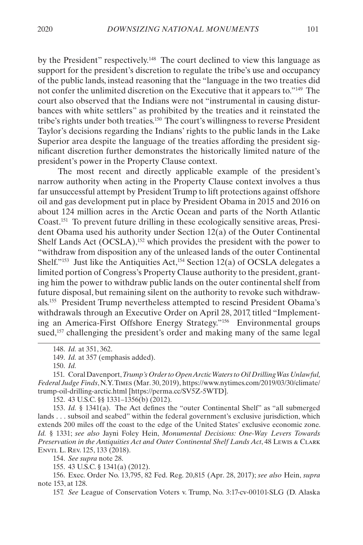by the President" respectively.<sup>148</sup> The court declined to view this language as support for the president's discretion to regulate the tribe's use and occupancy of the public lands, instead reasoning that the "language in the two treaties did not confer the unlimited discretion on the Executive that it appears to."149 The court also observed that the Indians were not "instrumental in causing disturbances with white settlers" as prohibited by the treaties and it reinstated the tribe's rights under both treaties.150 The court's willingness to reverse President Taylor's decisions regarding the Indians' rights to the public lands in the Lake Superior area despite the language of the treaties affording the president significant discretion further demonstrates the historically limited nature of the president's power in the Property Clause context.

The most recent and directly applicable example of the president's narrow authority when acting in the Property Clause context involves a thus far unsuccessful attempt by President Trump to lift protections against offshore oil and gas development put in place by President Obama in 2015 and 2016 on about 124 million acres in the Arctic Ocean and parts of the North Atlantic Coast.151 To prevent future drilling in these ecologically sensitive areas, President Obama used his authority under Section 12(a) of the Outer Continental Shelf Lands Act (OCSLA),<sup>152</sup> which provides the president with the power to "withdraw from disposition any of the unleased lands of the outer Continental Shelf."<sup>153</sup> Just like the Antiquities Act,<sup>154</sup> Section 12(a) of OCSLA delegates a limited portion of Congress's Property Clause authority to the president, granting him the power to withdraw public lands on the outer continental shelf from future disposal, but remaining silent on the authority to revoke such withdrawals.155 President Trump nevertheless attempted to rescind President Obama's withdrawals through an Executive Order on April 28, 2017, titled "Implementing an America-First Offshore Energy Strategy."156 Environmental groups sued,<sup>157</sup> challenging the president's order and making many of the same legal

152. 43 U.S.C. §§ 1331–1356(b) (2012).

153. *Id.* § 1341(a). The Act defines the "outer Continental Shelf" as "all submerged lands . . . subsoil and seabed" within the federal government's exclusive jurisdiction, which extends 200 miles off the coast to the edge of the United States' exclusive economic zone. *Id.* § 1331; *see also* Jayni Foley Hein, *Monumental Decisions: One-Way Levers Towards Preservation in the Antiquities Act and Outer Continental Shelf Lands Act*, 48 Lewis & Clark Envtl L. Rev. 125, 133 (2018).

154. *See supra* note 28.

155. 43 U.S.C. § 1341(a) (2012).

156. Exec. Order No. 13,795, 82 Fed. Reg. 20,815 (Apr. 28, 2017); *see also* Hein, *supra* note 153, at 128.

157. *See* League of Conservation Voters v. Trump, No. 3:17-cv-00101-SLG (D. Alaska

<sup>148.</sup> *Id.* at 351, 362.

<sup>149.</sup> *Id.* at 357 (emphasis added).

<sup>150.</sup> *Id.*

<sup>151.</sup> Coral Davenport, *Trump's Order to Open Arctic Waters to Oil Drilling Was Unlawful, Federal Judge Finds*, N.Y. Times (Mar. 30, 2019), https://www.nytimes.com/2019/03/30/climate/ trump-oil-drilling-arctic.html [https://perma.cc/SV5Z-5WTD].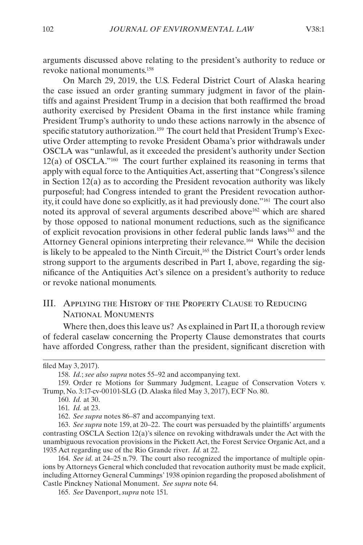<span id="page-24-0"></span>arguments discussed above relating to the president's authority to reduce or revoke national monuments.158

On March 29, 2019, the U.S. Federal District Court of Alaska hearing the case issued an order granting summary judgment in favor of the plaintiffs and against President Trump in a decision that both reaffirmed the broad authority exercised by President Obama in the first instance while framing President Trump's authority to undo these actions narrowly in the absence of specific statutory authorization.<sup>159</sup> The court held that President Trump's Executive Order attempting to revoke President Obama's prior withdrawals under OSCLA was "unlawful, as it exceeded the president's authority under Section 12(a) of OSCLA."160 The court further explained its reasoning in terms that apply with equal force to the Antiquities Act, asserting that "Congress's silence in Section  $12(a)$  as to according the President revocation authority was likely purposeful; had Congress intended to grant the President revocation authority, it could have done so explicitly, as it had previously done."161 The court also noted its approval of several arguments described above<sup>162</sup> which are shared by those opposed to national monument reductions, such as the significance of explicit revocation provisions in other federal public lands laws163 and the Attorney General opinions interpreting their relevance.164 While the decision is likely to be appealed to the Ninth Circuit,<sup>165</sup> the District Court's order lends strong support to the arguments described in Part [I](#page-6-1), above, regarding the significance of the Antiquities Act's silence on a president's authority to reduce or revoke national monuments.

### <span id="page-24-1"></span>III. Applying the History of the Property Clause to Reducing National Monuments

Where then, does this leave us? As explained in Part [II](#page-16-1), a thorough review of federal caselaw concerning the Property Clause demonstrates that courts have afforded Congress, rather than the president, significant discretion with

filed May 3, 2017).

<sup>158.</sup> *Id.*; *see also supra* notes 55–92 and accompanying text.

<sup>159.</sup> Order re Motions for Summary Judgment, League of Conservation Voters v. Trump, No. 3:17-cv-00101-SLG (D. Alaska filed May 3, 2017), ECF No. 80.

<sup>160.</sup> *Id.* at 30.

<sup>161.</sup> *Id.* at 23.

<sup>162.</sup> *See supra* notes 86–87 and accompanying text.

<sup>163.</sup> *See supra* note 159, at 20–22. The court was persuaded by the plaintiffs' arguments contrasting OSCLA Section 12(a)'s silence on revoking withdrawals under the Act with the unambiguous revocation provisions in the Pickett Act, the Forest Service Organic Act, and a 1935 Act regarding use of the Rio Grande river. *Id.* at 22.

<sup>164.</sup> *See id.* at 24–25 n.79. The court also recognized the importance of multiple opinions by Attorneys General which concluded that revocation authority must be made explicit, including Attorney General Cummings' 1938 opinion regarding the proposed abolishment of Castle Pinckney National Monument. *See supra* note 64.

<sup>165.</sup> *See* Davenport, *supra* note 151.